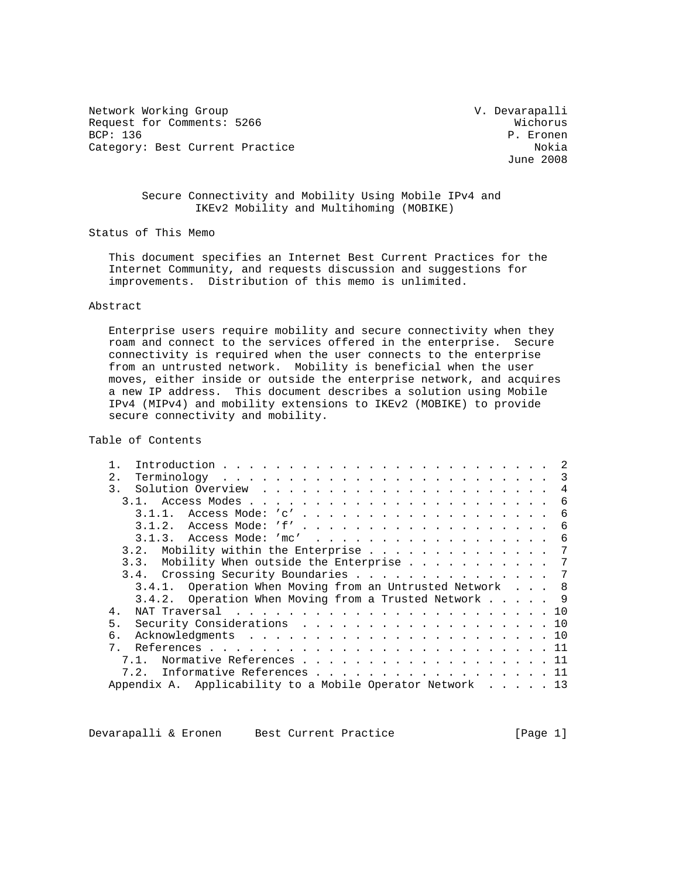Network Working Group and Communications of the V. Devarapalli Request for Comments: 5266 Wichorus<br>
BCP: 136 P. Eronen Category: Best Current Practice

P. Eronen<br>Nokia June 2008

## Secure Connectivity and Mobility Using Mobile IPv4 and IKEv2 Mobility and Multihoming (MOBIKE)

Status of This Memo

 This document specifies an Internet Best Current Practices for the Internet Community, and requests discussion and suggestions for improvements. Distribution of this memo is unlimited.

#### Abstract

 Enterprise users require mobility and secure connectivity when they roam and connect to the services offered in the enterprise. Secure connectivity is required when the user connects to the enterprise from an untrusted network. Mobility is beneficial when the user moves, either inside or outside the enterprise network, and acquires a new IP address. This document describes a solution using Mobile IPv4 (MIPv4) and mobility extensions to IKEv2 (MOBIKE) to provide secure connectivity and mobility.

Table of Contents

| 2.                                                             | $\mathcal{R}$ |
|----------------------------------------------------------------|---------------|
| 3.                                                             | 4             |
|                                                                | 6             |
|                                                                | 6             |
|                                                                | 6             |
| 3.1.3. Access Mode: 'mc'                                       | 6             |
| 3.2. Mobility within the Enterprise 7                          |               |
| 3.3. Mobility When outside the Enterprise 7                    |               |
| 3.4. Crossing Security Boundaries 7                            |               |
| 3.4.1. Operation When Moving from an Untrusted Network 8       |               |
| 3.4.2. Operation When Moving from a Trusted Network $\ldots$ 9 |               |
| NAT Traversal10<br>4.                                          |               |
| 5.<br>Security Considerations 10                               |               |
| б.                                                             |               |
| $7$ .                                                          |               |
| Normative References 11                                        |               |
| Informative References 11<br>7.2.                              |               |
| Appendix A. Applicability to a Mobile Operator Network 13      |               |
|                                                                |               |

Devarapalli & Eronen Best Current Practice [Page 1]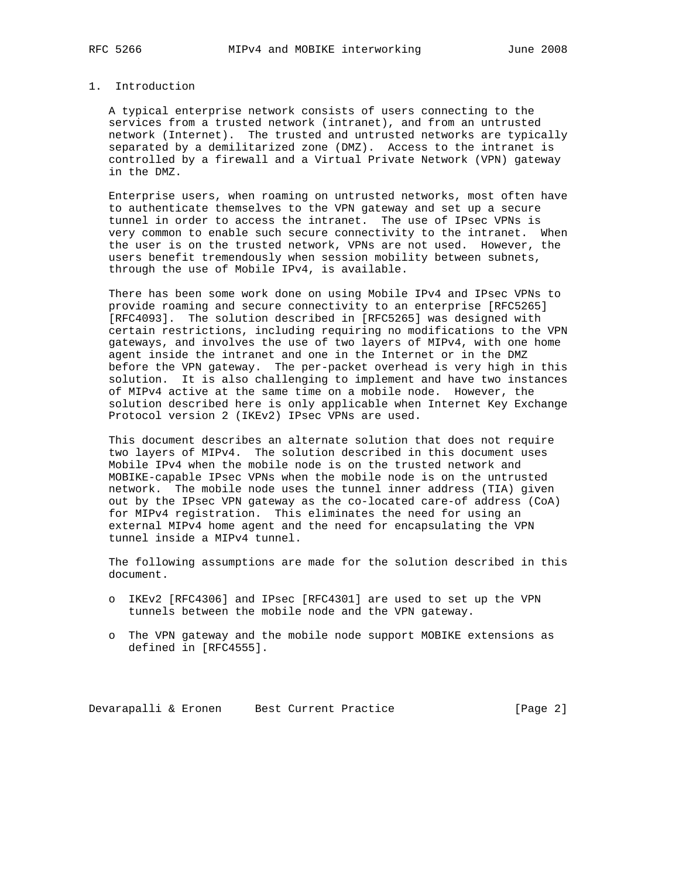## 1. Introduction

 A typical enterprise network consists of users connecting to the services from a trusted network (intranet), and from an untrusted network (Internet). The trusted and untrusted networks are typically separated by a demilitarized zone (DMZ). Access to the intranet is controlled by a firewall and a Virtual Private Network (VPN) gateway in the DMZ.

 Enterprise users, when roaming on untrusted networks, most often have to authenticate themselves to the VPN gateway and set up a secure tunnel in order to access the intranet. The use of IPsec VPNs is very common to enable such secure connectivity to the intranet. When the user is on the trusted network, VPNs are not used. However, the users benefit tremendously when session mobility between subnets, through the use of Mobile IPv4, is available.

 There has been some work done on using Mobile IPv4 and IPsec VPNs to provide roaming and secure connectivity to an enterprise [RFC5265] [RFC4093]. The solution described in [RFC5265] was designed with certain restrictions, including requiring no modifications to the VPN gateways, and involves the use of two layers of MIPv4, with one home agent inside the intranet and one in the Internet or in the DMZ before the VPN gateway. The per-packet overhead is very high in this solution. It is also challenging to implement and have two instances of MIPv4 active at the same time on a mobile node. However, the solution described here is only applicable when Internet Key Exchange Protocol version 2 (IKEv2) IPsec VPNs are used.

 This document describes an alternate solution that does not require two layers of MIPv4. The solution described in this document uses Mobile IPv4 when the mobile node is on the trusted network and MOBIKE-capable IPsec VPNs when the mobile node is on the untrusted network. The mobile node uses the tunnel inner address (TIA) given out by the IPsec VPN gateway as the co-located care-of address (CoA) for MIPv4 registration. This eliminates the need for using an external MIPv4 home agent and the need for encapsulating the VPN tunnel inside a MIPv4 tunnel.

 The following assumptions are made for the solution described in this document.

- o IKEv2 [RFC4306] and IPsec [RFC4301] are used to set up the VPN tunnels between the mobile node and the VPN gateway.
- o The VPN gateway and the mobile node support MOBIKE extensions as defined in [RFC4555].

Devarapalli & Eronen Best Current Practice [Page 2]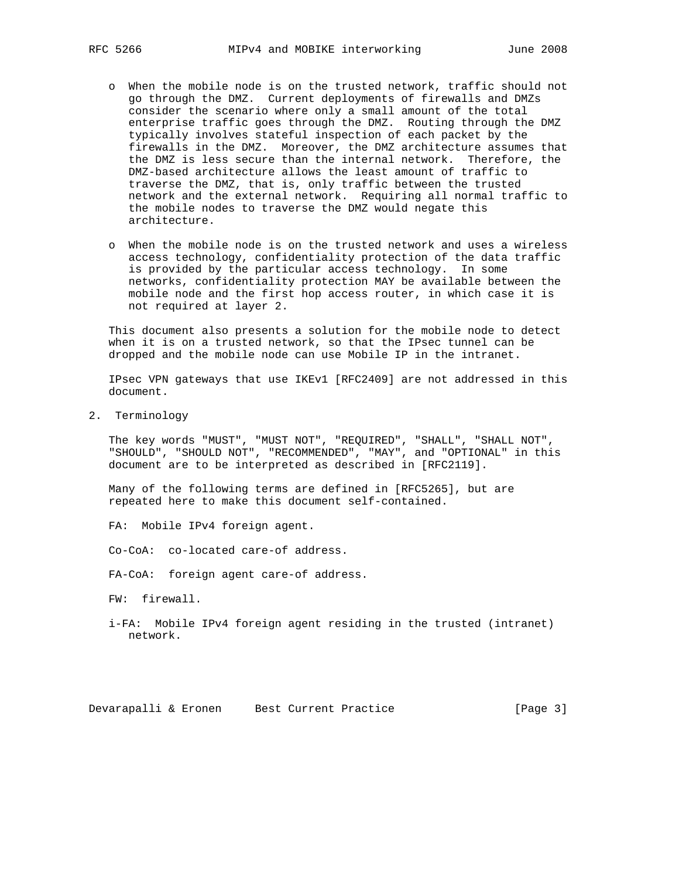- o When the mobile node is on the trusted network, traffic should not go through the DMZ. Current deployments of firewalls and DMZs consider the scenario where only a small amount of the total enterprise traffic goes through the DMZ. Routing through the DMZ typically involves stateful inspection of each packet by the firewalls in the DMZ. Moreover, the DMZ architecture assumes that the DMZ is less secure than the internal network. Therefore, the DMZ-based architecture allows the least amount of traffic to traverse the DMZ, that is, only traffic between the trusted network and the external network. Requiring all normal traffic to the mobile nodes to traverse the DMZ would negate this architecture.
- o When the mobile node is on the trusted network and uses a wireless access technology, confidentiality protection of the data traffic is provided by the particular access technology. In some networks, confidentiality protection MAY be available between the mobile node and the first hop access router, in which case it is not required at layer 2.

 This document also presents a solution for the mobile node to detect when it is on a trusted network, so that the IPsec tunnel can be dropped and the mobile node can use Mobile IP in the intranet.

 IPsec VPN gateways that use IKEv1 [RFC2409] are not addressed in this document.

2. Terminology

 The key words "MUST", "MUST NOT", "REQUIRED", "SHALL", "SHALL NOT", "SHOULD", "SHOULD NOT", "RECOMMENDED", "MAY", and "OPTIONAL" in this document are to be interpreted as described in [RFC2119].

 Many of the following terms are defined in [RFC5265], but are repeated here to make this document self-contained.

FA: Mobile IPv4 foreign agent.

Co-CoA: co-located care-of address.

FA-CoA: foreign agent care-of address.

FW: firewall.

 i-FA: Mobile IPv4 foreign agent residing in the trusted (intranet) network.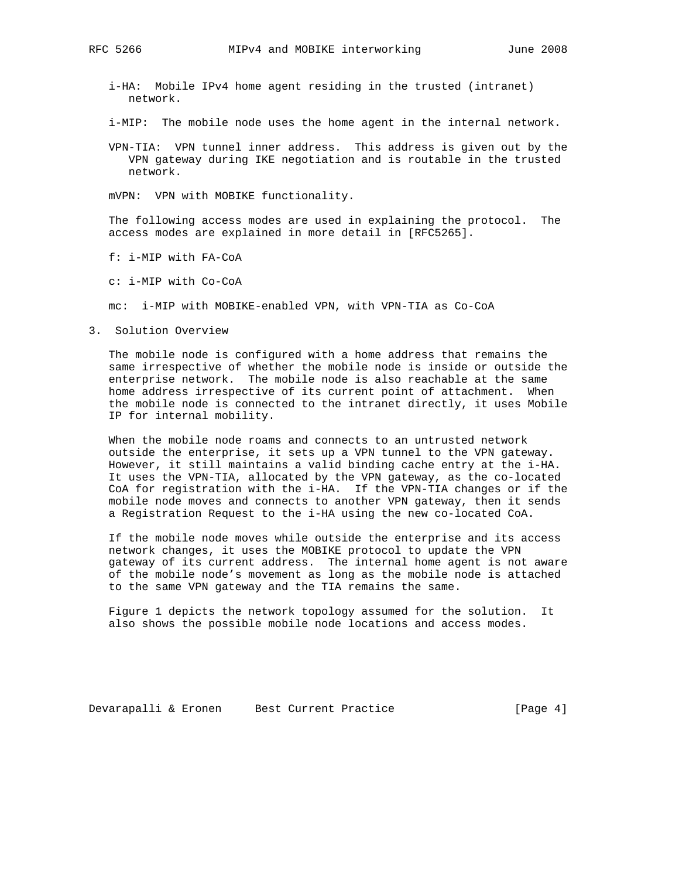- i-HA: Mobile IPv4 home agent residing in the trusted (intranet) network.
- i-MIP: The mobile node uses the home agent in the internal network.
- VPN-TIA: VPN tunnel inner address. This address is given out by the VPN gateway during IKE negotiation and is routable in the trusted network.
- mVPN: VPN with MOBIKE functionality.

 The following access modes are used in explaining the protocol. The access modes are explained in more detail in [RFC5265].

f: i-MIP with FA-CoA

c: i-MIP with Co-CoA

mc: i-MIP with MOBIKE-enabled VPN, with VPN-TIA as Co-CoA

3. Solution Overview

 The mobile node is configured with a home address that remains the same irrespective of whether the mobile node is inside or outside the enterprise network. The mobile node is also reachable at the same home address irrespective of its current point of attachment. When the mobile node is connected to the intranet directly, it uses Mobile IP for internal mobility.

 When the mobile node roams and connects to an untrusted network outside the enterprise, it sets up a VPN tunnel to the VPN gateway. However, it still maintains a valid binding cache entry at the i-HA. It uses the VPN-TIA, allocated by the VPN gateway, as the co-located CoA for registration with the i-HA. If the VPN-TIA changes or if the mobile node moves and connects to another VPN gateway, then it sends a Registration Request to the i-HA using the new co-located CoA.

 If the mobile node moves while outside the enterprise and its access network changes, it uses the MOBIKE protocol to update the VPN gateway of its current address. The internal home agent is not aware of the mobile node's movement as long as the mobile node is attached to the same VPN gateway and the TIA remains the same.

 Figure 1 depicts the network topology assumed for the solution. It also shows the possible mobile node locations and access modes.

Devarapalli & Eronen Best Current Practice [Page 4]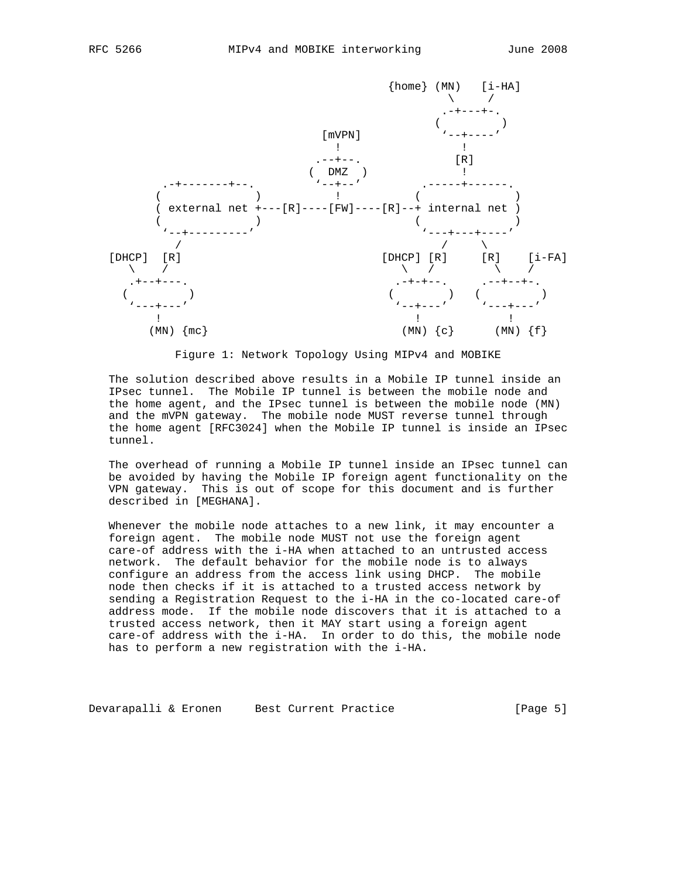

Figure 1: Network Topology Using MIPv4 and MOBIKE

 The solution described above results in a Mobile IP tunnel inside an IPsec tunnel. The Mobile IP tunnel is between the mobile node and the home agent, and the IPsec tunnel is between the mobile node (MN) and the mVPN gateway. The mobile node MUST reverse tunnel through the home agent [RFC3024] when the Mobile IP tunnel is inside an IPsec tunnel.

 The overhead of running a Mobile IP tunnel inside an IPsec tunnel can be avoided by having the Mobile IP foreign agent functionality on the VPN gateway. This is out of scope for this document and is further described in [MEGHANA].

Whenever the mobile node attaches to a new link, it may encounter a foreign agent. The mobile node MUST not use the foreign agent care-of address with the i-HA when attached to an untrusted access network. The default behavior for the mobile node is to always configure an address from the access link using DHCP. The mobile node then checks if it is attached to a trusted access network by sending a Registration Request to the i-HA in the co-located care-of address mode. If the mobile node discovers that it is attached to a trusted access network, then it MAY start using a foreign agent care-of address with the i-HA. In order to do this, the mobile node has to perform a new registration with the i-HA.

Devarapalli & Eronen Best Current Practice [Page 5]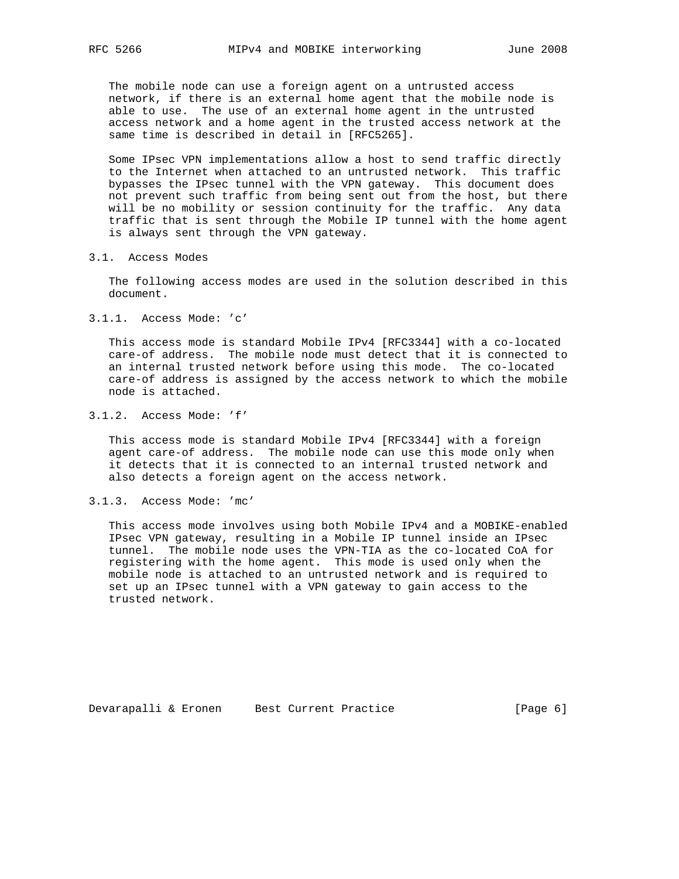The mobile node can use a foreign agent on a untrusted access network, if there is an external home agent that the mobile node is able to use. The use of an external home agent in the untrusted access network and a home agent in the trusted access network at the same time is described in detail in [RFC5265].

 Some IPsec VPN implementations allow a host to send traffic directly to the Internet when attached to an untrusted network. This traffic bypasses the IPsec tunnel with the VPN gateway. This document does not prevent such traffic from being sent out from the host, but there will be no mobility or session continuity for the traffic. Any data traffic that is sent through the Mobile IP tunnel with the home agent is always sent through the VPN gateway.

3.1. Access Modes

 The following access modes are used in the solution described in this document.

3.1.1. Access Mode: 'c'

 This access mode is standard Mobile IPv4 [RFC3344] with a co-located care-of address. The mobile node must detect that it is connected to an internal trusted network before using this mode. The co-located care-of address is assigned by the access network to which the mobile node is attached.

3.1.2. Access Mode: 'f'

 This access mode is standard Mobile IPv4 [RFC3344] with a foreign agent care-of address. The mobile node can use this mode only when it detects that it is connected to an internal trusted network and also detects a foreign agent on the access network.

3.1.3. Access Mode: 'mc'

 This access mode involves using both Mobile IPv4 and a MOBIKE-enabled IPsec VPN gateway, resulting in a Mobile IP tunnel inside an IPsec tunnel. The mobile node uses the VPN-TIA as the co-located CoA for registering with the home agent. This mode is used only when the mobile node is attached to an untrusted network and is required to set up an IPsec tunnel with a VPN gateway to gain access to the trusted network.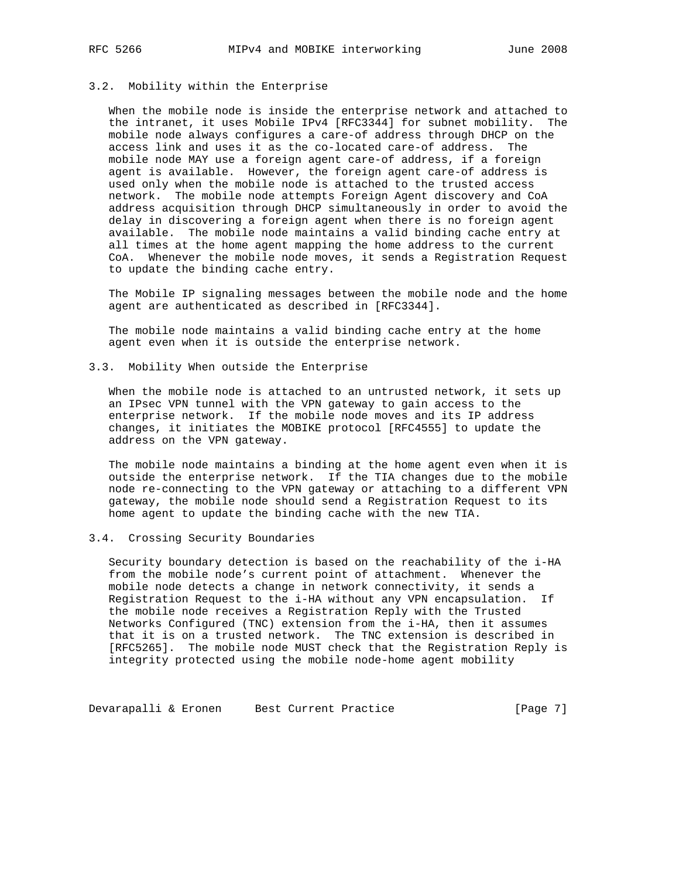# 3.2. Mobility within the Enterprise

 When the mobile node is inside the enterprise network and attached to the intranet, it uses Mobile IPv4 [RFC3344] for subnet mobility. The mobile node always configures a care-of address through DHCP on the access link and uses it as the co-located care-of address. The mobile node MAY use a foreign agent care-of address, if a foreign agent is available. However, the foreign agent care-of address is used only when the mobile node is attached to the trusted access network. The mobile node attempts Foreign Agent discovery and CoA address acquisition through DHCP simultaneously in order to avoid the delay in discovering a foreign agent when there is no foreign agent available. The mobile node maintains a valid binding cache entry at all times at the home agent mapping the home address to the current CoA. Whenever the mobile node moves, it sends a Registration Request to update the binding cache entry.

 The Mobile IP signaling messages between the mobile node and the home agent are authenticated as described in [RFC3344].

 The mobile node maintains a valid binding cache entry at the home agent even when it is outside the enterprise network.

3.3. Mobility When outside the Enterprise

 When the mobile node is attached to an untrusted network, it sets up an IPsec VPN tunnel with the VPN gateway to gain access to the enterprise network. If the mobile node moves and its IP address changes, it initiates the MOBIKE protocol [RFC4555] to update the address on the VPN gateway.

 The mobile node maintains a binding at the home agent even when it is outside the enterprise network. If the TIA changes due to the mobile node re-connecting to the VPN gateway or attaching to a different VPN gateway, the mobile node should send a Registration Request to its home agent to update the binding cache with the new TIA.

#### 3.4. Crossing Security Boundaries

 Security boundary detection is based on the reachability of the i-HA from the mobile node's current point of attachment. Whenever the mobile node detects a change in network connectivity, it sends a Registration Request to the i-HA without any VPN encapsulation. If the mobile node receives a Registration Reply with the Trusted Networks Configured (TNC) extension from the i-HA, then it assumes that it is on a trusted network. The TNC extension is described in [RFC5265]. The mobile node MUST check that the Registration Reply is integrity protected using the mobile node-home agent mobility

Devarapalli & Eronen Best Current Practice [Page 7]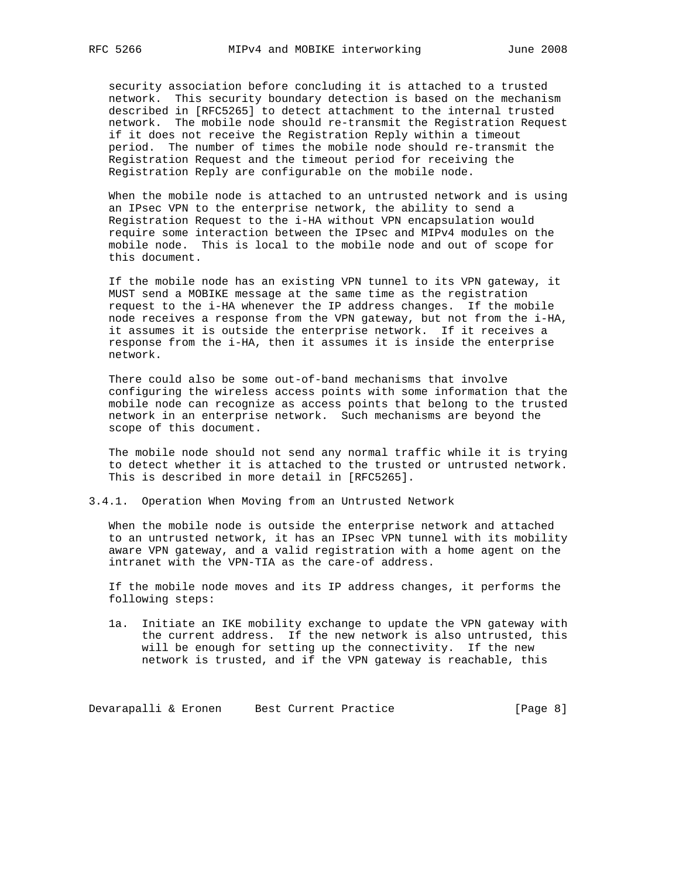security association before concluding it is attached to a trusted network. This security boundary detection is based on the mechanism described in [RFC5265] to detect attachment to the internal trusted network. The mobile node should re-transmit the Registration Request if it does not receive the Registration Reply within a timeout period. The number of times the mobile node should re-transmit the Registration Request and the timeout period for receiving the Registration Reply are configurable on the mobile node.

 When the mobile node is attached to an untrusted network and is using an IPsec VPN to the enterprise network, the ability to send a Registration Request to the i-HA without VPN encapsulation would require some interaction between the IPsec and MIPv4 modules on the mobile node. This is local to the mobile node and out of scope for this document.

 If the mobile node has an existing VPN tunnel to its VPN gateway, it MUST send a MOBIKE message at the same time as the registration request to the i-HA whenever the IP address changes. If the mobile node receives a response from the VPN gateway, but not from the i-HA, it assumes it is outside the enterprise network. If it receives a response from the i-HA, then it assumes it is inside the enterprise network.

 There could also be some out-of-band mechanisms that involve configuring the wireless access points with some information that the mobile node can recognize as access points that belong to the trusted network in an enterprise network. Such mechanisms are beyond the scope of this document.

 The mobile node should not send any normal traffic while it is trying to detect whether it is attached to the trusted or untrusted network. This is described in more detail in [RFC5265].

3.4.1. Operation When Moving from an Untrusted Network

 When the mobile node is outside the enterprise network and attached to an untrusted network, it has an IPsec VPN tunnel with its mobility aware VPN gateway, and a valid registration with a home agent on the intranet with the VPN-TIA as the care-of address.

 If the mobile node moves and its IP address changes, it performs the following steps:

 1a. Initiate an IKE mobility exchange to update the VPN gateway with the current address. If the new network is also untrusted, this will be enough for setting up the connectivity. If the new network is trusted, and if the VPN gateway is reachable, this

Devarapalli & Eronen Best Current Practice [Page 8]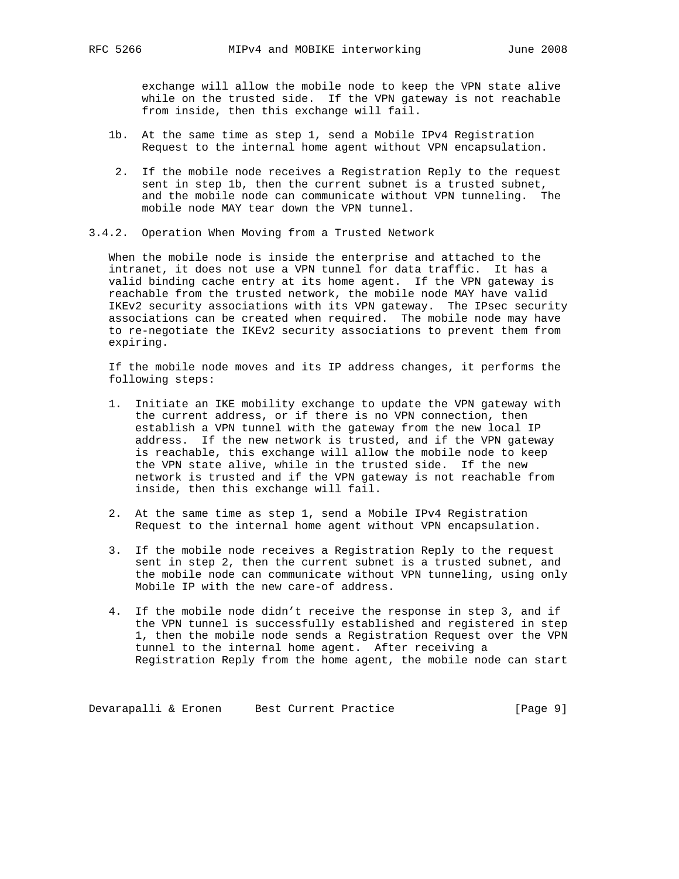exchange will allow the mobile node to keep the VPN state alive while on the trusted side. If the VPN gateway is not reachable from inside, then this exchange will fail.

- 1b. At the same time as step 1, send a Mobile IPv4 Registration Request to the internal home agent without VPN encapsulation.
	- 2. If the mobile node receives a Registration Reply to the request sent in step 1b, then the current subnet is a trusted subnet, and the mobile node can communicate without VPN tunneling. The mobile node MAY tear down the VPN tunnel.
- 3.4.2. Operation When Moving from a Trusted Network

 When the mobile node is inside the enterprise and attached to the intranet, it does not use a VPN tunnel for data traffic. It has a valid binding cache entry at its home agent. If the VPN gateway is reachable from the trusted network, the mobile node MAY have valid IKEv2 security associations with its VPN gateway. The IPsec security associations can be created when required. The mobile node may have to re-negotiate the IKEv2 security associations to prevent them from expiring.

 If the mobile node moves and its IP address changes, it performs the following steps:

- 1. Initiate an IKE mobility exchange to update the VPN gateway with the current address, or if there is no VPN connection, then establish a VPN tunnel with the gateway from the new local IP address. If the new network is trusted, and if the VPN gateway is reachable, this exchange will allow the mobile node to keep the VPN state alive, while in the trusted side. If the new network is trusted and if the VPN gateway is not reachable from inside, then this exchange will fail.
- 2. At the same time as step 1, send a Mobile IPv4 Registration Request to the internal home agent without VPN encapsulation.
- 3. If the mobile node receives a Registration Reply to the request sent in step 2, then the current subnet is a trusted subnet, and the mobile node can communicate without VPN tunneling, using only Mobile IP with the new care-of address.
- 4. If the mobile node didn't receive the response in step 3, and if the VPN tunnel is successfully established and registered in step 1, then the mobile node sends a Registration Request over the VPN tunnel to the internal home agent. After receiving a Registration Reply from the home agent, the mobile node can start

Devarapalli & Eronen Best Current Practice [Page 9]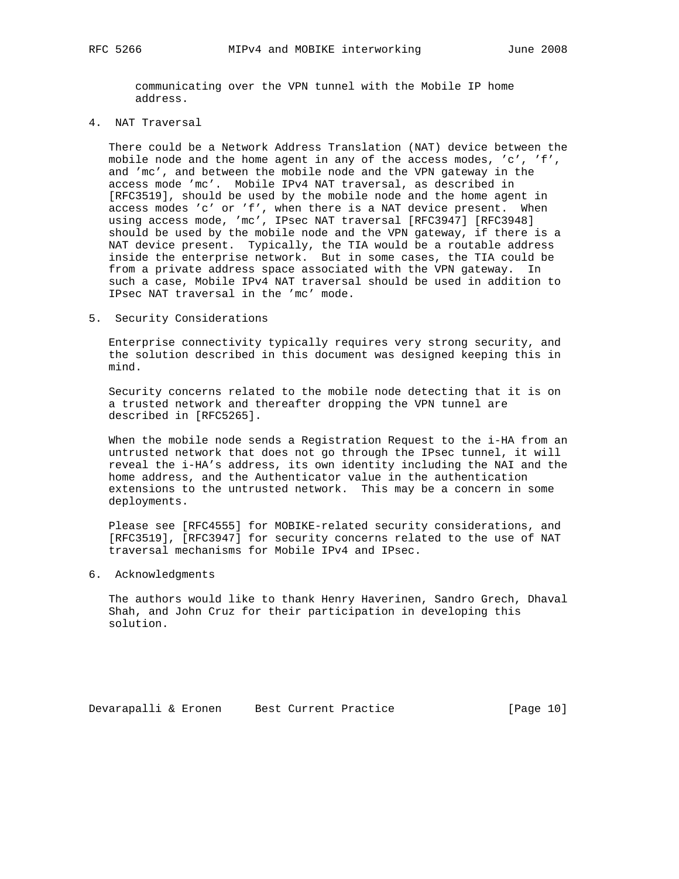communicating over the VPN tunnel with the Mobile IP home address.

4. NAT Traversal

 There could be a Network Address Translation (NAT) device between the mobile node and the home agent in any of the access modes, 'c', 'f', and 'mc', and between the mobile node and the VPN gateway in the access mode 'mc'. Mobile IPv4 NAT traversal, as described in [RFC3519], should be used by the mobile node and the home agent in access modes 'c' or 'f', when there is a NAT device present. When using access mode, 'mc', IPsec NAT traversal [RFC3947] [RFC3948] should be used by the mobile node and the VPN gateway, if there is a NAT device present. Typically, the TIA would be a routable address inside the enterprise network. But in some cases, the TIA could be from a private address space associated with the VPN gateway. In such a case, Mobile IPv4 NAT traversal should be used in addition to IPsec NAT traversal in the 'mc' mode.

5. Security Considerations

 Enterprise connectivity typically requires very strong security, and the solution described in this document was designed keeping this in mind.

 Security concerns related to the mobile node detecting that it is on a trusted network and thereafter dropping the VPN tunnel are described in [RFC5265].

 When the mobile node sends a Registration Request to the i-HA from an untrusted network that does not go through the IPsec tunnel, it will reveal the i-HA's address, its own identity including the NAI and the home address, and the Authenticator value in the authentication extensions to the untrusted network. This may be a concern in some deployments.

 Please see [RFC4555] for MOBIKE-related security considerations, and [RFC3519], [RFC3947] for security concerns related to the use of NAT traversal mechanisms for Mobile IPv4 and IPsec.

6. Acknowledgments

 The authors would like to thank Henry Haverinen, Sandro Grech, Dhaval Shah, and John Cruz for their participation in developing this solution.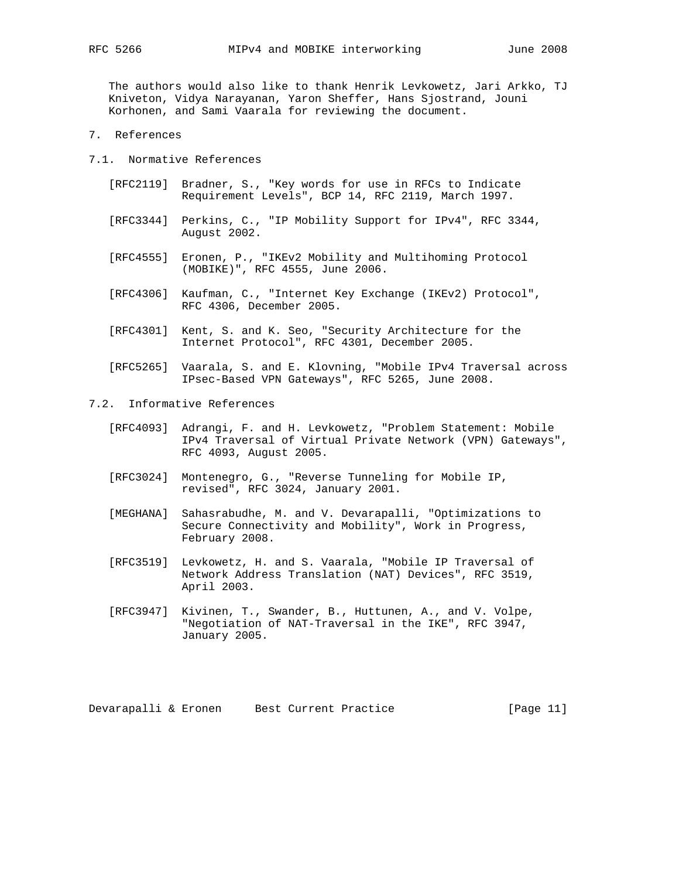The authors would also like to thank Henrik Levkowetz, Jari Arkko, TJ Kniveton, Vidya Narayanan, Yaron Sheffer, Hans Sjostrand, Jouni

Korhonen, and Sami Vaarala for reviewing the document.

7. References

7.1. Normative References

- [RFC2119] Bradner, S., "Key words for use in RFCs to Indicate Requirement Levels", BCP 14, RFC 2119, March 1997.
- [RFC3344] Perkins, C., "IP Mobility Support for IPv4", RFC 3344, August 2002.
- [RFC4555] Eronen, P., "IKEv2 Mobility and Multihoming Protocol (MOBIKE)", RFC 4555, June 2006.
- [RFC4306] Kaufman, C., "Internet Key Exchange (IKEv2) Protocol", RFC 4306, December 2005.
- [RFC4301] Kent, S. and K. Seo, "Security Architecture for the Internet Protocol", RFC 4301, December 2005.
- [RFC5265] Vaarala, S. and E. Klovning, "Mobile IPv4 Traversal across IPsec-Based VPN Gateways", RFC 5265, June 2008.
- 7.2. Informative References
	- [RFC4093] Adrangi, F. and H. Levkowetz, "Problem Statement: Mobile IPv4 Traversal of Virtual Private Network (VPN) Gateways", RFC 4093, August 2005.
	- [RFC3024] Montenegro, G., "Reverse Tunneling for Mobile IP, revised", RFC 3024, January 2001.
	- [MEGHANA] Sahasrabudhe, M. and V. Devarapalli, "Optimizations to Secure Connectivity and Mobility", Work in Progress, February 2008.
	- [RFC3519] Levkowetz, H. and S. Vaarala, "Mobile IP Traversal of Network Address Translation (NAT) Devices", RFC 3519, April 2003.
	- [RFC3947] Kivinen, T., Swander, B., Huttunen, A., and V. Volpe, "Negotiation of NAT-Traversal in the IKE", RFC 3947, January 2005.

Devarapalli & Eronen Best Current Practice [Page 11]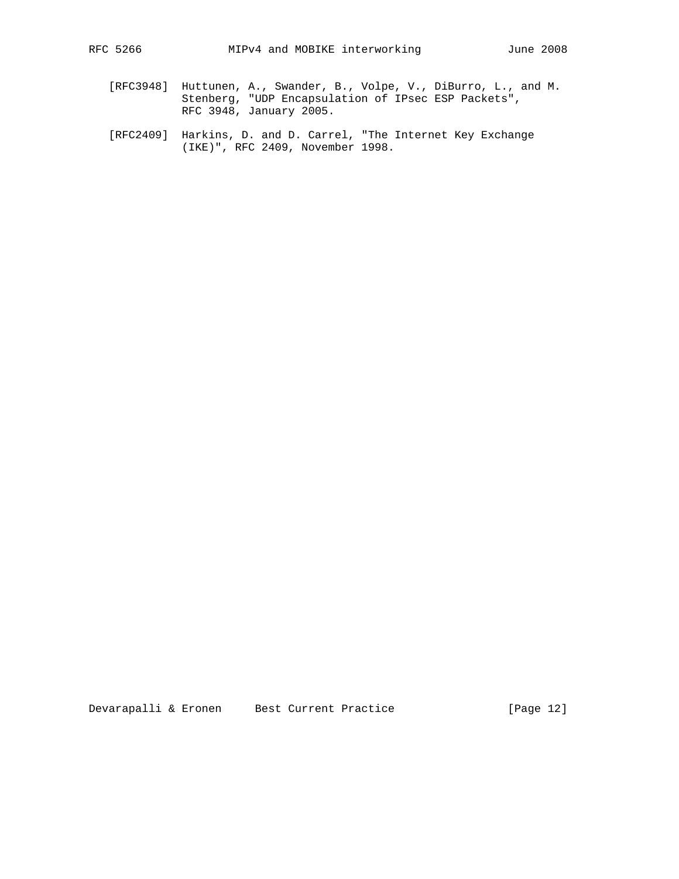- [RFC3948] Huttunen, A., Swander, B., Volpe, V., DiBurro, L., and M. Stenberg, "UDP Encapsulation of IPsec ESP Packets", RFC 3948, January 2005.
	- [RFC2409] Harkins, D. and D. Carrel, "The Internet Key Exchange (IKE)", RFC 2409, November 1998.

Devarapalli & Eronen Best Current Practice [Page 12]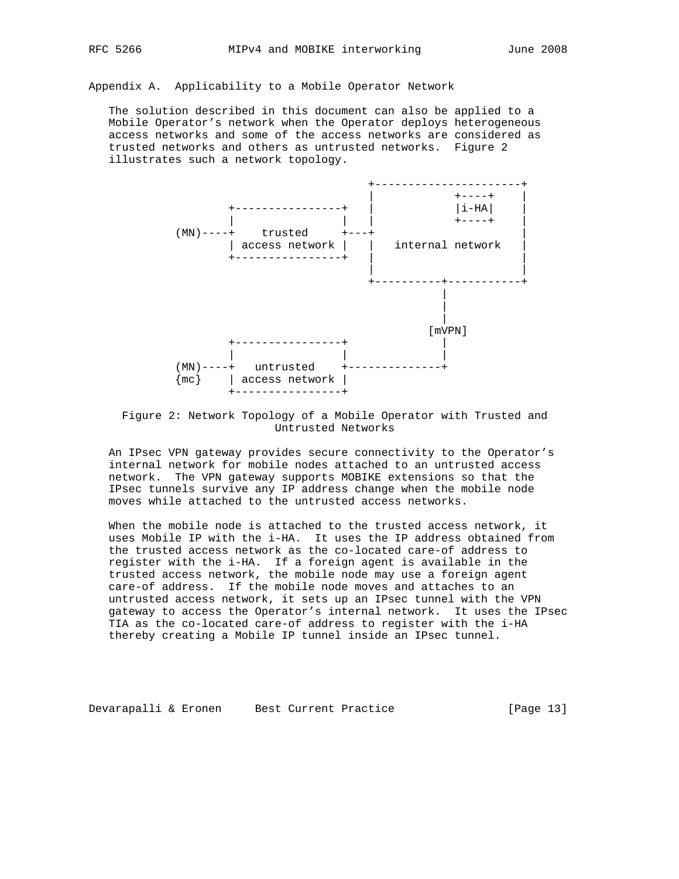Appendix A. Applicability to a Mobile Operator Network

 The solution described in this document can also be applied to a Mobile Operator's network when the Operator deploys heterogeneous access networks and some of the access networks are considered as trusted networks and others as untrusted networks. Figure 2 illustrates such a network topology.



 Figure 2: Network Topology of a Mobile Operator with Trusted and Untrusted Networks

 An IPsec VPN gateway provides secure connectivity to the Operator's internal network for mobile nodes attached to an untrusted access network. The VPN gateway supports MOBIKE extensions so that the IPsec tunnels survive any IP address change when the mobile node moves while attached to the untrusted access networks.

 When the mobile node is attached to the trusted access network, it uses Mobile IP with the i-HA. It uses the IP address obtained from the trusted access network as the co-located care-of address to register with the i-HA. If a foreign agent is available in the trusted access network, the mobile node may use a foreign agent care-of address. If the mobile node moves and attaches to an untrusted access network, it sets up an IPsec tunnel with the VPN gateway to access the Operator's internal network. It uses the IPsec TIA as the co-located care-of address to register with the i-HA thereby creating a Mobile IP tunnel inside an IPsec tunnel.

Devarapalli & Eronen Best Current Practice [Page 13]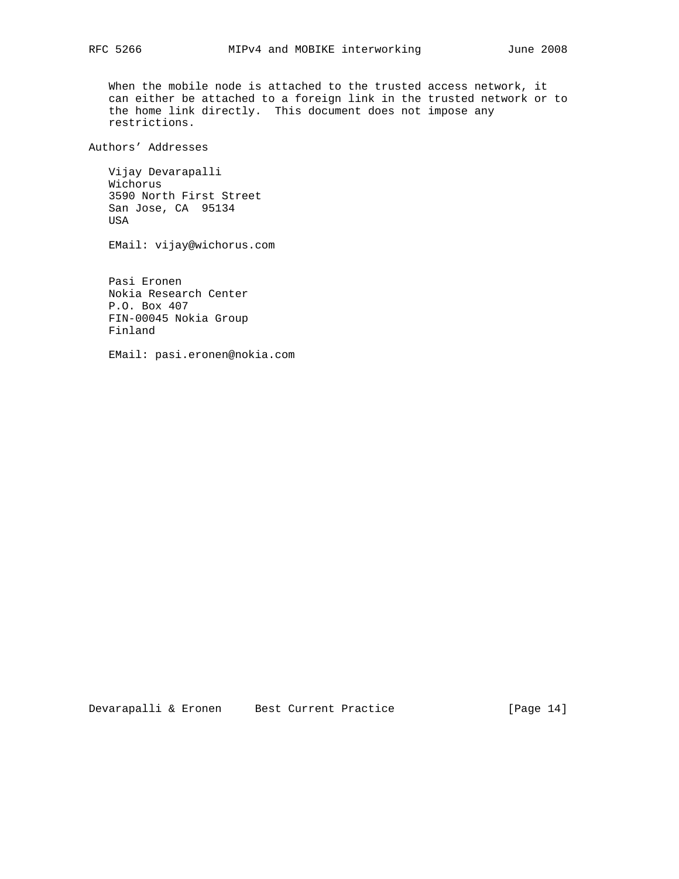When the mobile node is attached to the trusted access network, it can either be attached to a foreign link in the trusted network or to the home link directly. This document does not impose any restrictions.

Authors' Addresses

 Vijay Devarapalli Wichorus 3590 North First Street San Jose, CA 95134 USA

EMail: vijay@wichorus.com

 Pasi Eronen Nokia Research Center P.O. Box 407 FIN-00045 Nokia Group Finland

EMail: pasi.eronen@nokia.com